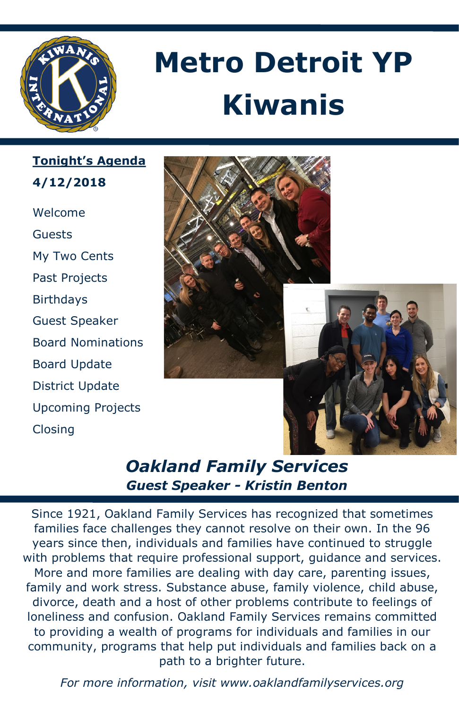

# **Metro Detroit YP Kiwanis**

**Tonight's Agenda 4/12/2018**

Welcome Guests My Two Cents Past Projects **Birthdays** Guest Speaker Board Nominations Board Update District Update Upcoming Projects Closing



## *Oakland Family Services Guest Speaker - Kristin Benton*

Since 1921, Oakland Family Services has recognized that sometimes families face challenges they cannot resolve on their own. In the 96 years since then, individuals and families have continued to struggle with problems that require professional support, guidance and services. More and more families are dealing with day care, parenting issues, family and work stress. Substance abuse, family violence, child abuse, divorce, death and a host of other problems contribute to feelings of loneliness and confusion. Oakland Family Services remains committed to providing a wealth of programs for individuals and families in our community, programs that help put individuals and families back on a path to a brighter future.

*For more information, visit www.oaklandfamilyservices.org*